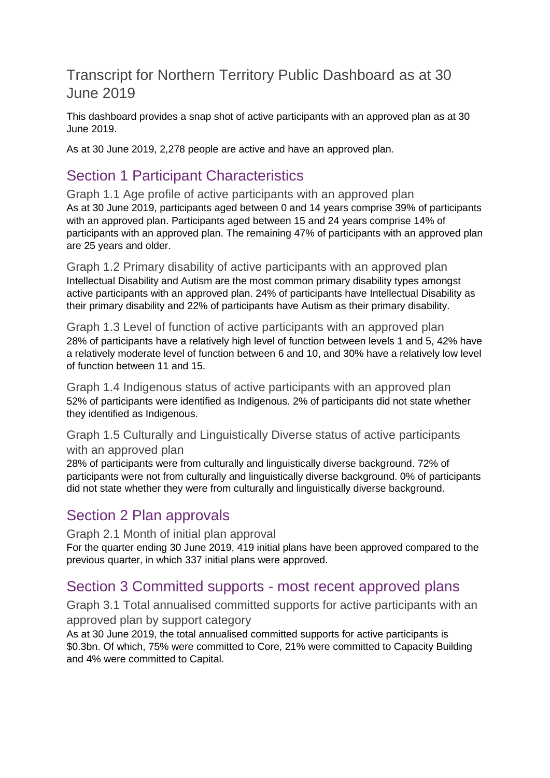# Transcript for Northern Territory Public Dashboard as at 30 June 2019

This dashboard provides a snap shot of active participants with an approved plan as at 30 June 2019.

As at 30 June 2019, 2,278 people are active and have an approved plan.

# Section 1 Participant Characteristics

Graph 1.1 Age profile of active participants with an approved plan As at 30 June 2019, participants aged between 0 and 14 years comprise 39% of participants with an approved plan. Participants aged between 15 and 24 years comprise 14% of participants with an approved plan. The remaining 47% of participants with an approved plan are 25 years and older.

Graph 1.2 Primary disability of active participants with an approved plan Intellectual Disability and Autism are the most common primary disability types amongst active participants with an approved plan. 24% of participants have Intellectual Disability as their primary disability and 22% of participants have Autism as their primary disability.

Graph 1.3 Level of function of active participants with an approved plan 28% of participants have a relatively high level of function between levels 1 and 5, 42% have a relatively moderate level of function between 6 and 10, and 30% have a relatively low level of function between 11 and 15.

Graph 1.4 Indigenous status of active participants with an approved plan 52% of participants were identified as Indigenous. 2% of participants did not state whether they identified as Indigenous.

#### Graph 1.5 Culturally and Linguistically Diverse status of active participants with an approved plan

28% of participants were from culturally and linguistically diverse background. 72% of participants were not from culturally and linguistically diverse background. 0% of participants did not state whether they were from culturally and linguistically diverse background.

# Section 2 Plan approvals

Graph 2.1 Month of initial plan approval For the quarter ending 30 June 2019, 419 initial plans have been approved compared to the previous quarter, in which 337 initial plans were approved.

# Section 3 Committed supports - most recent approved plans

Graph 3.1 Total annualised committed supports for active participants with an approved plan by support category

As at 30 June 2019, the total annualised committed supports for active participants is \$0.3bn. Of which, 75% were committed to Core, 21% were committed to Capacity Building and 4% were committed to Capital.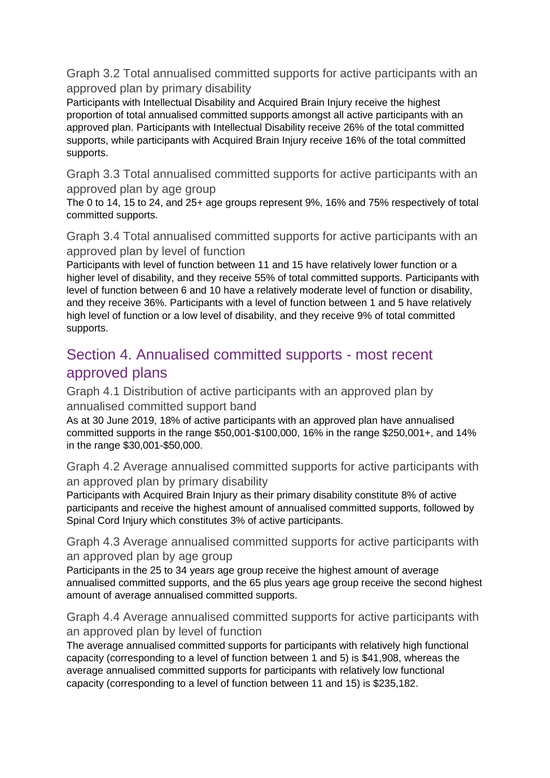Graph 3.2 Total annualised committed supports for active participants with an approved plan by primary disability

Participants with Intellectual Disability and Acquired Brain Injury receive the highest proportion of total annualised committed supports amongst all active participants with an approved plan. Participants with Intellectual Disability receive 26% of the total committed supports, while participants with Acquired Brain Injury receive 16% of the total committed supports.

Graph 3.3 Total annualised committed supports for active participants with an approved plan by age group

The 0 to 14, 15 to 24, and 25+ age groups represent 9%, 16% and 75% respectively of total committed supports.

Graph 3.4 Total annualised committed supports for active participants with an approved plan by level of function

Participants with level of function between 11 and 15 have relatively lower function or a higher level of disability, and they receive 55% of total committed supports. Participants with level of function between 6 and 10 have a relatively moderate level of function or disability, and they receive 36%. Participants with a level of function between 1 and 5 have relatively high level of function or a low level of disability, and they receive 9% of total committed supports.

# Section 4. Annualised committed supports - most recent approved plans

Graph 4.1 Distribution of active participants with an approved plan by annualised committed support band

As at 30 June 2019, 18% of active participants with an approved plan have annualised committed supports in the range \$50,001-\$100,000, 16% in the range \$250,001+, and 14% in the range \$30,001-\$50,000.

Graph 4.2 Average annualised committed supports for active participants with an approved plan by primary disability

Participants with Acquired Brain Injury as their primary disability constitute 8% of active participants and receive the highest amount of annualised committed supports, followed by Spinal Cord Injury which constitutes 3% of active participants.

Graph 4.3 Average annualised committed supports for active participants with an approved plan by age group

Participants in the 25 to 34 years age group receive the highest amount of average annualised committed supports, and the 65 plus years age group receive the second highest amount of average annualised committed supports.

Graph 4.4 Average annualised committed supports for active participants with an approved plan by level of function

The average annualised committed supports for participants with relatively high functional capacity (corresponding to a level of function between 1 and 5) is \$41,908, whereas the average annualised committed supports for participants with relatively low functional capacity (corresponding to a level of function between 11 and 15) is \$235,182.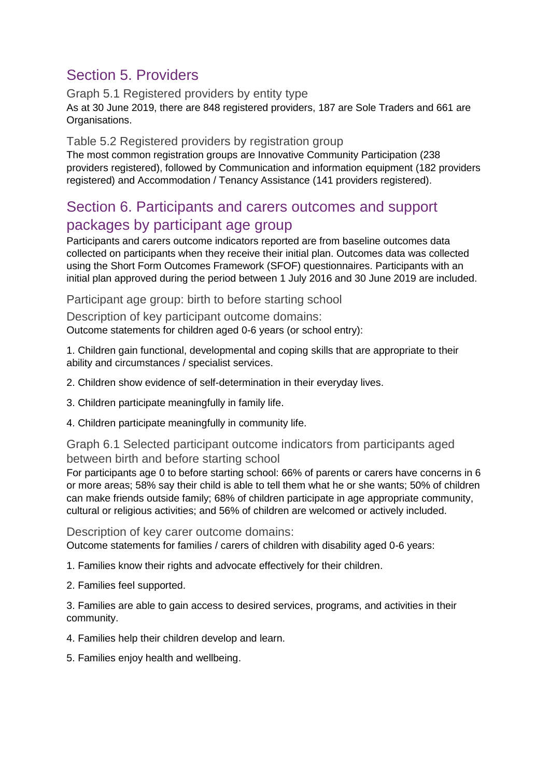# Section 5. Providers

#### Graph 5.1 Registered providers by entity type

As at 30 June 2019, there are 848 registered providers, 187 are Sole Traders and 661 are Organisations.

### Table 5.2 Registered providers by registration group

The most common registration groups are Innovative Community Participation (238 providers registered), followed by Communication and information equipment (182 providers registered) and Accommodation / Tenancy Assistance (141 providers registered).

### Section 6. Participants and carers outcomes and support packages by participant age group

Participants and carers outcome indicators reported are from baseline outcomes data collected on participants when they receive their initial plan. Outcomes data was collected using the Short Form Outcomes Framework (SFOF) questionnaires. Participants with an initial plan approved during the period between 1 July 2016 and 30 June 2019 are included.

Participant age group: birth to before starting school

Description of key participant outcome domains: Outcome statements for children aged 0-6 years (or school entry):

1. Children gain functional, developmental and coping skills that are appropriate to their ability and circumstances / specialist services.

2. Children show evidence of self-determination in their everyday lives.

3. Children participate meaningfully in family life.

4. Children participate meaningfully in community life.

Graph 6.1 Selected participant outcome indicators from participants aged between birth and before starting school

For participants age 0 to before starting school: 66% of parents or carers have concerns in 6 or more areas; 58% say their child is able to tell them what he or she wants; 50% of children can make friends outside family; 68% of children participate in age appropriate community, cultural or religious activities; and 56% of children are welcomed or actively included.

Description of key carer outcome domains:

Outcome statements for families / carers of children with disability aged 0-6 years:

1. Families know their rights and advocate effectively for their children.

2. Families feel supported.

3. Families are able to gain access to desired services, programs, and activities in their community.

4. Families help their children develop and learn.

5. Families enjoy health and wellbeing.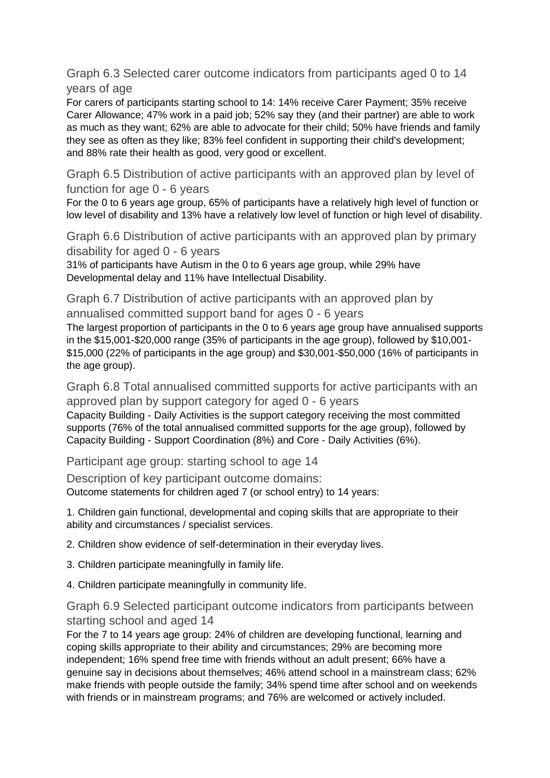Graph 6.3 Selected carer outcome indicators from participants aged 0 to 14 years of age

For carers of participants starting school to 14: 14% receive Carer Payment; 35% receive Carer Allowance; 47% work in a paid job; 52% say they (and their partner) are able to work as much as they want; 62% are able to advocate for their child; 50% have friends and family they see as often as they like; 83% feel confident in supporting their child's development; and 88% rate their health as good, very good or excellent.

Graph 6.5 Distribution of active participants with an approved plan by level of function for age 0 - 6 years

For the 0 to 6 years age group, 65% of participants have a relatively high level of function or low level of disability and 13% have a relatively low level of function or high level of disability.

Graph 6.6 Distribution of active participants with an approved plan by primary disability for aged 0 - 6 years

31% of participants have Autism in the 0 to 6 years age group, while 29% have Developmental delay and 11% have Intellectual Disability.

Graph 6.7 Distribution of active participants with an approved plan by annualised committed support band for ages 0 - 6 years

The largest proportion of participants in the 0 to 6 years age group have annualised supports in the \$15,001-\$20,000 range (35% of participants in the age group), followed by \$10,001- \$15,000 (22% of participants in the age group) and \$30,001-\$50,000 (16% of participants in the age group).

Graph 6.8 Total annualised committed supports for active participants with an approved plan by support category for aged 0 - 6 years Capacity Building - Daily Activities is the support category receiving the most committed

supports (76% of the total annualised committed supports for the age group), followed by Capacity Building - Support Coordination (8%) and Core - Daily Activities (6%).

Participant age group: starting school to age 14

Description of key participant outcome domains:

Outcome statements for children aged 7 (or school entry) to 14 years:

1. Children gain functional, developmental and coping skills that are appropriate to their ability and circumstances / specialist services.

2. Children show evidence of self-determination in their everyday lives.

3. Children participate meaningfully in family life.

4. Children participate meaningfully in community life.

### Graph 6.9 Selected participant outcome indicators from participants between starting school and aged 14

For the 7 to 14 years age group: 24% of children are developing functional, learning and coping skills appropriate to their ability and circumstances; 29% are becoming more independent; 16% spend free time with friends without an adult present; 66% have a genuine say in decisions about themselves; 46% attend school in a mainstream class; 62% make friends with people outside the family; 34% spend time after school and on weekends with friends or in mainstream programs; and 76% are welcomed or actively included.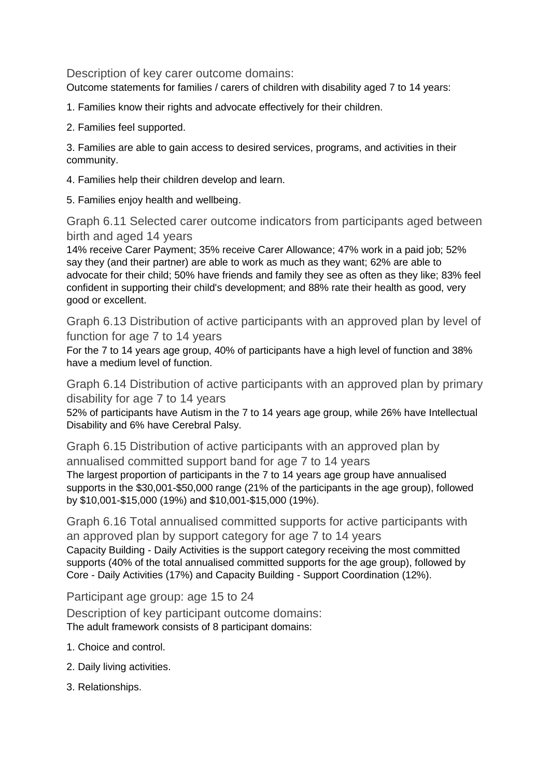Description of key carer outcome domains:

Outcome statements for families / carers of children with disability aged 7 to 14 years:

1. Families know their rights and advocate effectively for their children.

2. Families feel supported.

3. Families are able to gain access to desired services, programs, and activities in their community.

4. Families help their children develop and learn.

5. Families enjoy health and wellbeing.

Graph 6.11 Selected carer outcome indicators from participants aged between birth and aged 14 years

14% receive Carer Payment; 35% receive Carer Allowance; 47% work in a paid job; 52% say they (and their partner) are able to work as much as they want; 62% are able to advocate for their child; 50% have friends and family they see as often as they like; 83% feel confident in supporting their child's development; and 88% rate their health as good, very good or excellent.

Graph 6.13 Distribution of active participants with an approved plan by level of function for age 7 to 14 years

For the 7 to 14 years age group, 40% of participants have a high level of function and 38% have a medium level of function.

Graph 6.14 Distribution of active participants with an approved plan by primary disability for age 7 to 14 years

52% of participants have Autism in the 7 to 14 years age group, while 26% have Intellectual Disability and 6% have Cerebral Palsy.

Graph 6.15 Distribution of active participants with an approved plan by annualised committed support band for age 7 to 14 years The largest proportion of participants in the 7 to 14 years age group have annualised supports in the \$30,001-\$50,000 range (21% of the participants in the age group), followed by \$10,001-\$15,000 (19%) and \$10,001-\$15,000 (19%).

Graph 6.16 Total annualised committed supports for active participants with an approved plan by support category for age 7 to 14 years Capacity Building - Daily Activities is the support category receiving the most committed supports (40% of the total annualised committed supports for the age group), followed by Core - Daily Activities (17%) and Capacity Building - Support Coordination (12%).

Participant age group: age 15 to 24

Description of key participant outcome domains: The adult framework consists of 8 participant domains:

- 1. Choice and control.
- 2. Daily living activities.
- 3. Relationships.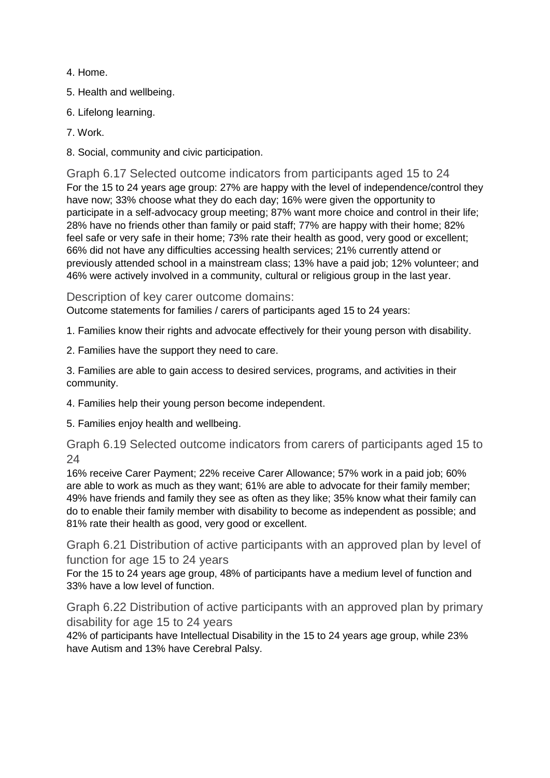- 4. Home.
- 5. Health and wellbeing.
- 6. Lifelong learning.
- 7. Work.
- 8. Social, community and civic participation.

Graph 6.17 Selected outcome indicators from participants aged 15 to 24 For the 15 to 24 years age group: 27% are happy with the level of independence/control they have now; 33% choose what they do each day; 16% were given the opportunity to participate in a self-advocacy group meeting; 87% want more choice and control in their life; 28% have no friends other than family or paid staff; 77% are happy with their home; 82% feel safe or very safe in their home; 73% rate their health as good, very good or excellent; 66% did not have any difficulties accessing health services; 21% currently attend or previously attended school in a mainstream class; 13% have a paid job; 12% volunteer; and 46% were actively involved in a community, cultural or religious group in the last year.

Description of key carer outcome domains:

Outcome statements for families / carers of participants aged 15 to 24 years:

- 1. Families know their rights and advocate effectively for their young person with disability.
- 2. Families have the support they need to care.

3. Families are able to gain access to desired services, programs, and activities in their community.

- 4. Families help their young person become independent.
- 5. Families enjoy health and wellbeing.

Graph 6.19 Selected outcome indicators from carers of participants aged 15 to 24

16% receive Carer Payment; 22% receive Carer Allowance; 57% work in a paid job; 60% are able to work as much as they want; 61% are able to advocate for their family member; 49% have friends and family they see as often as they like; 35% know what their family can do to enable their family member with disability to become as independent as possible; and 81% rate their health as good, very good or excellent.

Graph 6.21 Distribution of active participants with an approved plan by level of function for age 15 to 24 years

For the 15 to 24 years age group, 48% of participants have a medium level of function and 33% have a low level of function.

Graph 6.22 Distribution of active participants with an approved plan by primary disability for age 15 to 24 years

42% of participants have Intellectual Disability in the 15 to 24 years age group, while 23% have Autism and 13% have Cerebral Palsy.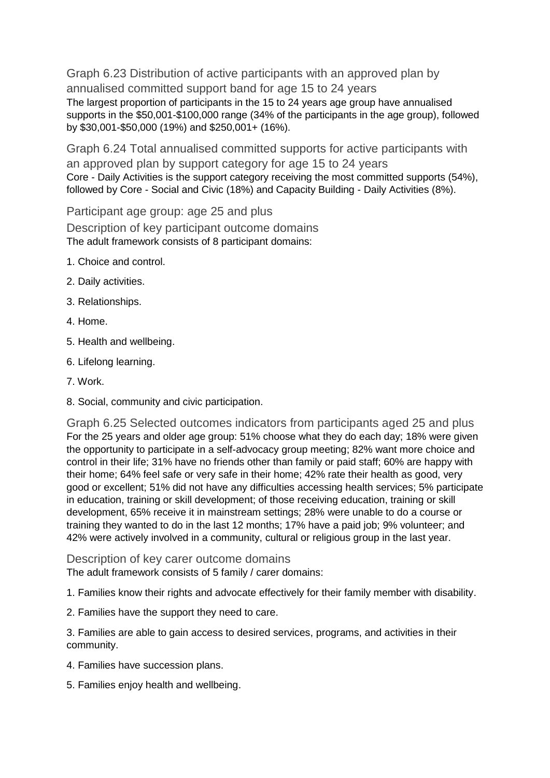Graph 6.23 Distribution of active participants with an approved plan by annualised committed support band for age 15 to 24 years The largest proportion of participants in the 15 to 24 years age group have annualised supports in the \$50,001-\$100,000 range (34% of the participants in the age group), followed by \$30,001-\$50,000 (19%) and \$250,001+ (16%).

Graph 6.24 Total annualised committed supports for active participants with an approved plan by support category for age 15 to 24 years Core - Daily Activities is the support category receiving the most committed supports (54%), followed by Core - Social and Civic (18%) and Capacity Building - Daily Activities (8%).

Participant age group: age 25 and plus

Description of key participant outcome domains The adult framework consists of 8 participant domains:

- 1. Choice and control.
- 2. Daily activities.
- 3. Relationships.
- 4. Home.
- 5. Health and wellbeing.
- 6. Lifelong learning.
- 7. Work.
- 8. Social, community and civic participation.

Graph 6.25 Selected outcomes indicators from participants aged 25 and plus For the 25 years and older age group: 51% choose what they do each day; 18% were given the opportunity to participate in a self-advocacy group meeting; 82% want more choice and control in their life; 31% have no friends other than family or paid staff; 60% are happy with their home; 64% feel safe or very safe in their home; 42% rate their health as good, very good or excellent; 51% did not have any difficulties accessing health services; 5% participate in education, training or skill development; of those receiving education, training or skill development, 65% receive it in mainstream settings; 28% were unable to do a course or training they wanted to do in the last 12 months; 17% have a paid job; 9% volunteer; and 42% were actively involved in a community, cultural or religious group in the last year.

Description of key carer outcome domains

The adult framework consists of 5 family / carer domains:

1. Families know their rights and advocate effectively for their family member with disability.

2. Families have the support they need to care.

3. Families are able to gain access to desired services, programs, and activities in their community.

- 4. Families have succession plans.
- 5. Families enjoy health and wellbeing.